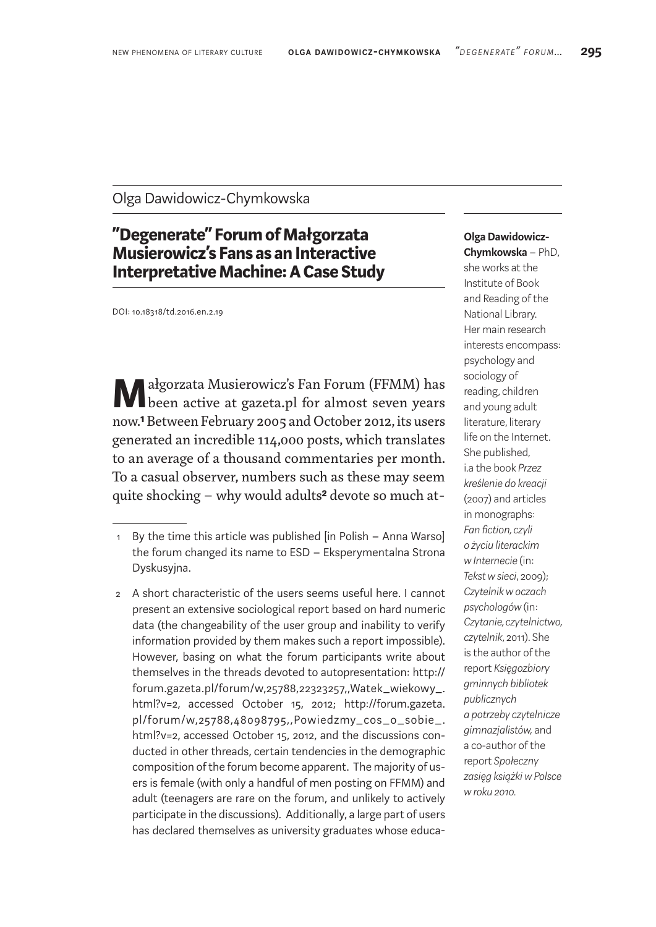## Olga Dawidowicz-Chymkowska

## **"Degenerate" Forum of Małgorzata Musierowicz's Fans as an Interactive Interpretative Machine: ACase Study**

DOI: 10.18318/td.2016.en.2.19

**M**ałgorzata Musierowicz's Fan Forum (FFMM) has been active at gazeta.pl for almost seven years now.**1** Between February 2005 and October 2012, its users generated an incredible 114,000 posts, which translates to an average of a thousand commentaries per month. To a casual observer, numbers such as these may seem quite shocking – why would adults**2** devote so much at-

## **Olga Dawidowicz-Chymkowska** – PhD,

she works at the Institute of Book and Reading of the National Library. Her main research interests encompass: psychology and sociology of reading, children and young adult literature, literary life on the Internet. She published, i.a the book *Przez kreślenie do kreacji* (2007) and articles in monographs: *Fan fiction, czyli o życiu literackim w Internecie* (in: *Tekst w sieci*, 2009); *Czytelnik w oczach psychologów* (in: *Czytanie, czytelnictwo, czytelnik*, 2011). She is the author of the report *Księgozbiory gminnych bibliotek publicznych a potrzeby czytelnicze gimnazjalistów,* and a co-author of the report *Społeczny zasięg książki w Polsce w roku 2010.*

<sup>1</sup> By the time this article was published [in Polish – Anna Warso] the forum changed its name to ESD – Eksperymentalna Strona Dyskusyjna.

<sup>2</sup> A short characteristic of the users seems useful here. I cannot present an extensive sociological report based on hard numeric data (the changeability of the user group and inability to verify information provided by them makes such a report impossible). However, basing on what the forum participants write about themselves in the threads devoted to autopresentation: http:// forum.gazeta.pl/forum/w,25788,22323257,,Watek\_wiekowy\_. html?v=2, accessed October 15, 2012; http://forum.gazeta. pl/forum/w,25788,48098795,,Powiedzmy\_cos\_o\_sobie\_. html?v=2, accessed October 15, 2012, and the discussions conducted in other threads, certain tendencies in the demographic composition of the forum become apparent. The majority of users is female (with only a handful of men posting on FFMM) and adult (teenagers are rare on the forum, and unlikely to actively participate in the discussions). Additionally, a large part of users has declared themselves as university graduates whose educa-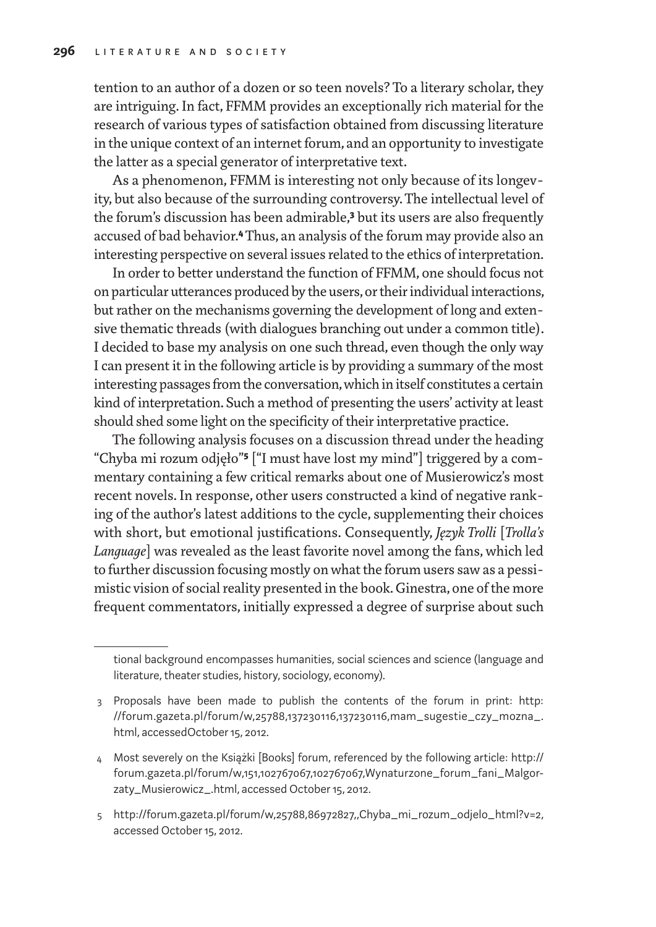tention to an author of a dozen or so teen novels? To a literary scholar, they are intriguing. In fact, FFMM provides an exceptionally rich material for the research of various types of satisfaction obtained from discussing literature in the unique context of an internet forum, and an opportunity to investigate the latter as a special generator of interpretative text.

As a phenomenon, FFMM is interesting not only because of its longevity, but also because of the surrounding controversy. The intellectual level of the forum's discussion has been admirable,**3** but its users are also frequently accused of bad behavior.**4** Thus, an analysis of the forum may provide also an interesting perspective on several issues related to the ethics of interpretation.

In order to better understand the function of FFMM, one should focus not on particular utterances produced by the users, or their individual interactions, but rather on the mechanisms governing the development of long and extensive thematic threads (with dialogues branching out under a common title). I decided to base my analysis on one such thread, even though the only way I can present it in the following article is by providing a summary of the most interesting passages from the conversation, which in itself constitutes a certain kind of interpretation. Such a method of presenting the users' activity at least should shed some light on the specificity of their interpretative practice.

The following analysis focuses on a discussion thread under the heading "Chyba mi rozum odjęło"**5** ["I must have lost my mind"] triggered by a commentary containing a few critical remarks about one of Musierowicz's most recent novels. In response, other users constructed a kind of negative ranking of the author's latest additions to the cycle, supplementing their choices with short, but emotional justifications. Consequently, *Język Trolli* [*Trolla's Language*] was revealed as the least favorite novel among the fans, which led to further discussion focusing mostly on what the forum users saw as a pessimistic vision of social reality presented in the book. Ginestra, one of the more frequent commentators, initially expressed a degree of surprise about such

tional background encompasses humanities, social sciences and science (language and literature, theater studies, history, sociology, economy).

<sup>3</sup> Proposals have been made to publish the contents of the forum in print: http: //forum.gazeta.pl/forum/w,25788,137230116,137230116,mam\_sugestie\_czy\_mozna\_. html, accessedOctober 15, 2012.

<sup>4</sup> Most severely on the Książki [Books] forum, referenced by the following article: http:// forum.gazeta.pl/forum/w,151,102767067,102767067,Wynaturzone\_forum\_fani\_Malgorzaty\_Musierowicz\_.html, accessed October 15, 2012.

<sup>5</sup> http://forum.gazeta.pl/forum/w,25788,86972827,,Chyba\_mi\_rozum\_odjelo\_html?v=2, accessed October 15, 2012.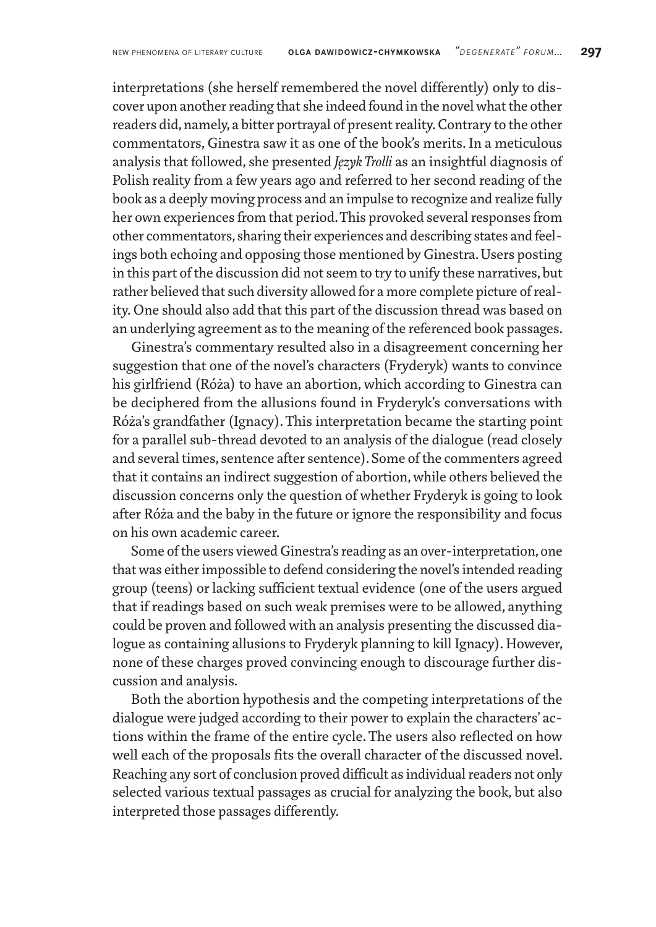interpretations (she herself remembered the novel differently) only to discover upon another reading that she indeed found in the novel what the other readers did, namely, a bitter portrayal of present reality. Contrary to the other commentators, Ginestra saw it as one of the book's merits. In a meticulous analysis that followed, she presented *Język Trolli* as an insightful diagnosis of Polish reality from a few years ago and referred to her second reading of the book as a deeply moving process and an impulse to recognize and realize fully her own experiences from that period. This provoked several responses from other commentators, sharing their experiences and describing states and feelings both echoing and opposing those mentioned by Ginestra. Users posting in this part of the discussion did not seem to try to unify these narratives, but rather believed that such diversity allowed for amore complete picture of reality. One should also add that this part of the discussion thread was based on an underlying agreement as to the meaning of the referenced book passages.

Ginestra's commentary resulted also in a disagreement concerning her suggestion that one of the novel's characters (Fryderyk) wants to convince his girlfriend (Róża) to have an abortion, which according to Ginestra can be deciphered from the allusions found in Fryderyk's conversations with Róża's grandfather (Ignacy). This interpretation became the starting point for a parallel sub-thread devoted to an analysis of the dialogue (read closely and several times, sentence after sentence). Some of the commenters agreed that it contains an indirect suggestion of abortion, while others believed the discussion concerns only the question of whether Fryderyk is going to look after Róża and the baby in the future or ignore the responsibility and focus on his own academic career.

Some of the users viewed Ginestra's reading as an over-interpretation, one that was either impossible to defend considering the novel's intended reading group (teens) or lacking sufficient textual evidence (one of the users argued that if readings based on such weak premises were to be allowed, anything could be proven and followed with an analysis presenting the discussed dialogue as containing allusions to Fryderyk planning to kill Ignacy). However, none of these charges proved convincing enough to discourage further discussion and analysis.

Both the abortion hypothesis and the competing interpretations of the dialogue were judged according to their power to explain the characters' actions within the frame of the entire cycle. The users also reflected on how well each of the proposals fits the overall character of the discussed novel. Reaching any sort of conclusion proved difficult as individual readers not only selected various textual passages as crucial for analyzing the book, but also interpreted those passages differently.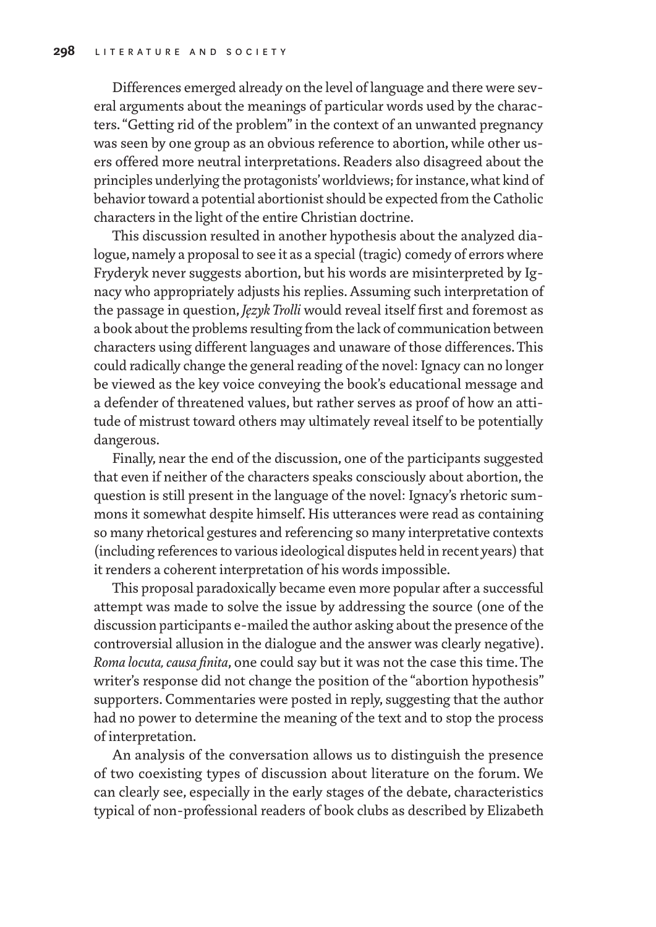Differences emerged already on the level of language and there were several arguments about the meanings of particular words used by the characters. "Getting rid of the problem" in the context of an unwanted pregnancy was seen by one group as an obvious reference to abortion, while other users offered more neutral interpretations. Readers also disagreed about the principles underlying the protagonists' worldviews; for instance, what kind of behavior toward a potential abortionist should be expected from the Catholic characters in the light of the entire Christian doctrine.

This discussion resulted in another hypothesis about the analyzed dialogue, namely a proposal to see it as a special (tragic) comedy of errors where Fryderyk never suggests abortion, but his words are misinterpreted by Ignacy who appropriately adjusts his replies. Assuming such interpretation of the passage in question, *Język Trolli* would reveal itself first and foremost as a book about the problems resulting from the lack of communication between characters using different languages and unaware of those differences. This could radically change the general reading of the novel: Ignacy can no longer be viewed as the key voice conveying the book's educational message and a defender of threatened values, but rather serves as proof of how an attitude of mistrust toward others may ultimately reveal itself to be potentially dangerous.

Finally, near the end of the discussion, one of the participants suggested that even if neither of the characters speaks consciously about abortion, the question is still present in the language of the novel: Ignacy's rhetoric summons it somewhat despite himself. His utterances were read as containing so many rhetorical gestures and referencing so many interpretative contexts (including references to various ideological disputes held in recent years) that it renders a coherent interpretation of his words impossible.

This proposal paradoxically became even more popular after a successful attempt was made to solve the issue by addressing the source (one of the discussion participants e-mailed the author asking about the presence of the controversial allusion in the dialogue and the answer was clearly negative). *Roma locuta, causa finita*, one could say but it was not the case this time. The writer's response did not change the position of the "abortion hypothesis" supporters. Commentaries were posted in reply, suggesting that the author had no power to determine the meaning of the text and to stop the process of interpretation.

An analysis of the conversation allows us to distinguish the presence of two coexisting types of discussion about literature on the forum. We can clearly see, especially in the early stages of the debate, characteristics typical of non-professional readers of book clubs as described by Elizabeth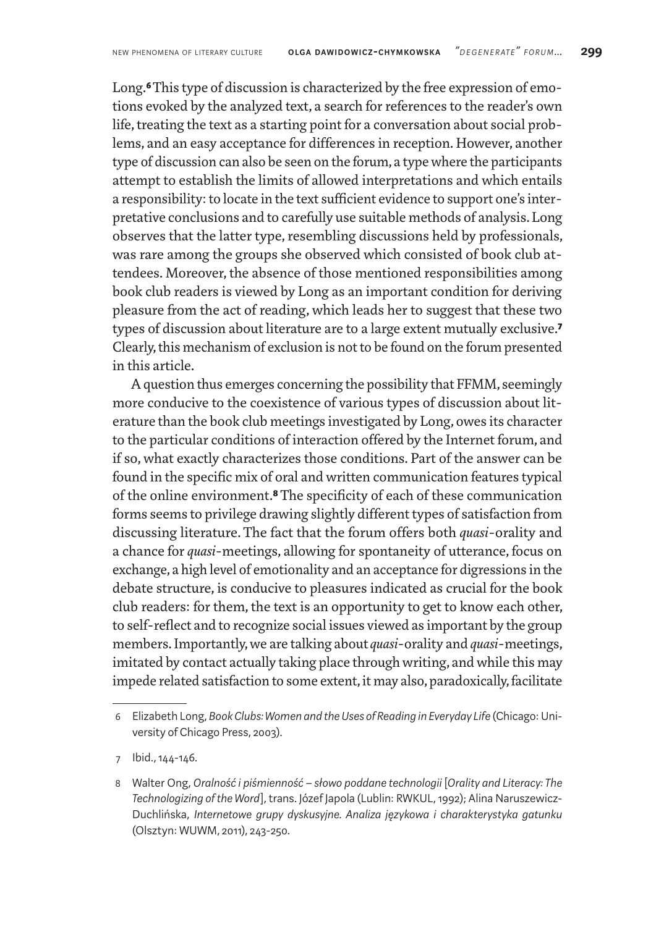Long.**6** This type of discussion is characterized by the free expression of emotions evoked by the analyzed text, a search for references to the reader's own life, treating the text as a starting point for a conversation about social problems, and an easy acceptance for differences in reception. However, another type of discussion can also be seen on the forum, a type where the participants attempt to establish the limits of allowed interpretations and which entails a responsibility: to locate in the text sufficient evidence to support one's interpretative conclusions and to carefully use suitable methods of analysis. Long observes that the latter type, resembling discussions held by professionals, was rare among the groups she observed which consisted of book club attendees. Moreover, the absence of those mentioned responsibilities among book club readers is viewed by Long as an important condition for deriving pleasure from the act of reading, which leads her to suggest that these two types of discussion about literature are to a large extent mutually exclusive.**7** Clearly, this mechanism of exclusion is not to be found on the forum presented in this article.

Aquestion thus emerges concerning the possibility that FFMM, seemingly more conducive to the coexistence of various types of discussion about literature than the book club meetings investigated by Long, owes its character to the particular conditions of interaction offered by the Internet forum, and if so, what exactly characterizes those conditions. Part of the answer can be found in the specific mix of oral and written communication features typical of the online environment.**8** The specificity of each of these communication forms seems to privilege drawing slightly different types of satisfaction from discussing literature. The fact that the forum offers both *quasi*-orality and a chance for *quasi*-meetings, allowing for spontaneity of utterance, focus on exchange, a high level of emotionality and an acceptance for digressions in the debate structure, is conducive to pleasures indicated as crucial for the book club readers: for them, the text is an opportunity to get to know each other, to self-reflect and to recognize social issues viewed as important by the group members. Importantly, we are talking about *quasi*-orality and *quasi*-meetings, imitated by contact actually taking place through writing, and while this may impede related satisfaction to some extent, it may also, paradoxically, facilitate

<sup>6</sup> Elizabeth Long, *Book Clubs: Women and the Uses of Reading in Everyday Life* (Chicago: University of Chicago Press, 2003).

<sup>7</sup> Ibid., 144-146.

<sup>8</sup> Walter Ong, *Oralność i piśmienność – słowo poddane technologii* [*Orality and Literacy: The Technologizing of the Word*], trans. Józef Japola (Lublin: RWKUL, 1992); Alina Naruszewicz-Duchlińska, *Internetowe grupy dyskusyjne. Analiza językowa i charakterystyka gatunku* (Olsztyn: WUWM, 2011), 243-250.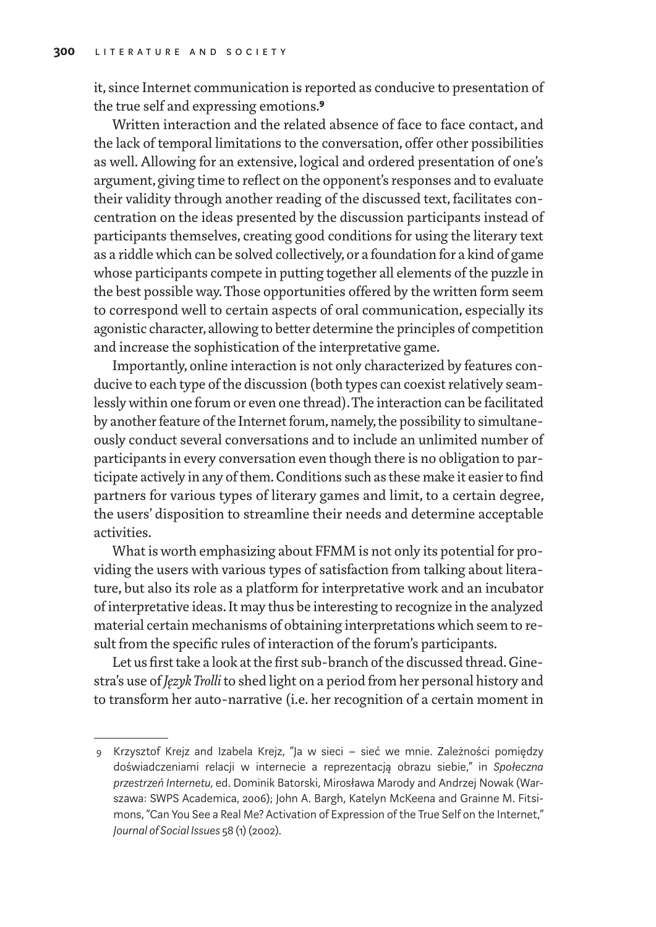it, since Internet communication is reported as conducive to presentation of the true self and expressing emotions.**9**

Written interaction and the related absence of face to face contact, and the lack of temporal limitations to the conversation, offer other possibilities as well. Allowing for an extensive, logical and ordered presentation of one's argument, giving time to reflect on the opponent's responses and to evaluate their validity through another reading of the discussed text, facilitates concentration on the ideas presented by the discussion participants instead of participants themselves, creating good conditions for using the literary text as a riddle which can be solved collectively, or a foundation for a kind of game whose participants compete in putting together all elements of the puzzle in the best possible way. Those opportunities offered by the written form seem to correspond well to certain aspects of oral communication, especially its agonistic character, allowing to better determine the principles of competition and increase the sophistication of the interpretative game.

Importantly, online interaction is not only characterized by features conducive to each type of the discussion (both types can coexist relatively seamlessly within one forum or even one thread). The interaction can be facilitated by another feature of the Internet forum, namely, the possibility to simultaneously conduct several conversations and to include an unlimited number of participants in every conversation even though there is no obligation to participate actively in any of them. Conditions such as these make it easier to find partners for various types of literary games and limit, to a certain degree, the users' disposition to streamline their needs and determine acceptable activities.

What is worth emphasizing about FFMM is not only its potential for providing the users with various types of satisfaction from talking about literature, but also its role as a platform for interpretative work and an incubator of interpretative ideas. It may thus be interesting to recognize in the analyzed material certain mechanisms of obtaining interpretations which seem to result from the specific rules of interaction of the forum's participants.

Let us first take a look at the first sub-branch of the discussed thread. Ginestra's use of *Język Trolli* to shed light on a period from her personal history and to transform her auto-narrative (i.e. her recognition of a certain moment in

<sup>9</sup> Krzysztof Krejz and Izabela Krejz, "Ja w sieci – sieć we mnie. Zależności pomiędzy doświadczeniami relacji w internecie a reprezentacją obrazu siebie," in *Społeczna przestrzeń Internetu,* ed. Dominik Batorski, Mirosława Marody and Andrzej Nowak (Warszawa: SWPS Academica, 2006); John A. Bargh, Katelyn McKeena and Grainne M. Fitsimons, "Can You See a Real Me? Activation of Expression of the True Self on the Internet," *Journal of Social Issues* 58 (1) (2002).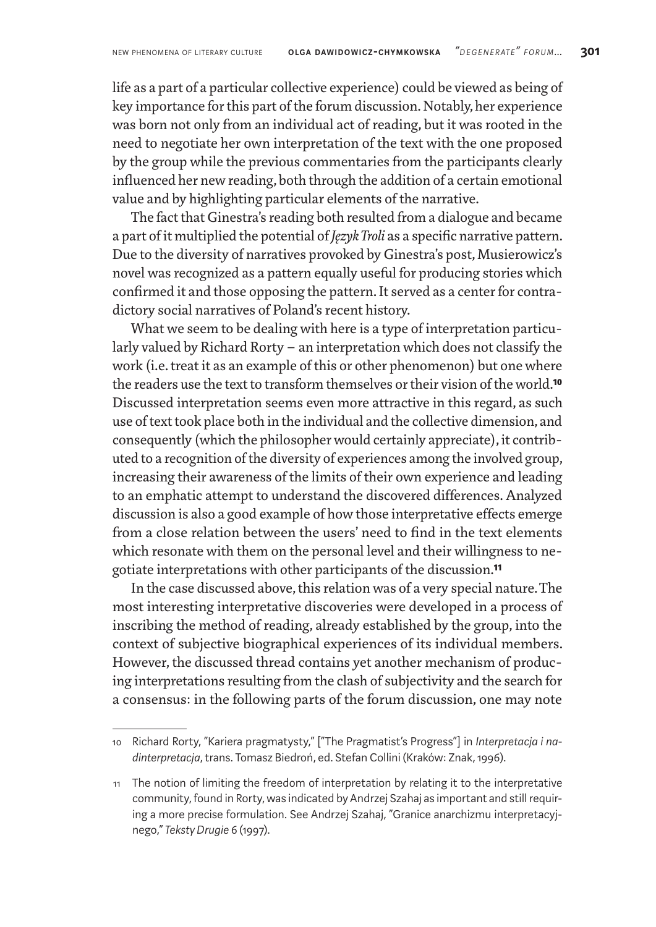life as a part of a particular collective experience) could be viewed as being of key importance for this part of the forum discussion. Notably, her experience was born not only from an individual act of reading, but it was rooted in the need to negotiate her own interpretation of the text with the one proposed by the group while the previous commentaries from the participants clearly influenced her new reading, both through the addition of a certain emotional value and by highlighting particular elements of the narrative.

The fact that Ginestra's reading both resulted from a dialogue and became a part of it multiplied the potential of *Język Troli* as a specific narrative pattern. Due to the diversity of narratives provoked by Ginestra's post, Musierowicz's novel was recognized as a pattern equally useful for producing stories which confirmed it and those opposing the pattern. It served as a center for contradictory social narratives of Poland's recent history.

What we seem to be dealing with here is a type of interpretation particularly valued by Richard Rorty – an interpretation which does not classify the work (i.e. treat it as an example of this or other phenomenon) but one where the readers use the text to transform themselves or their vision of the world.**10** Discussed interpretation seems even more attractive in this regard, as such use of text took place both in the individual and the collective dimension, and consequently (which the philosopher would certainly appreciate), it contributed to a recognition of the diversity of experiences among the involved group, increasing their awareness of the limits of their own experience and leading to an emphatic attempt to understand the discovered differences. Analyzed discussion is also a good example of how those interpretative effects emerge from a close relation between the users' need to find in the text elements which resonate with them on the personal level and their willingness to negotiate interpretations with other participants of the discussion.**11**

In the case discussed above, this relation was of a very special nature. The most interesting interpretative discoveries were developed in a process of inscribing the method of reading, already established by the group, into the context of subjective biographical experiences of its individual members. However, the discussed thread contains yet another mechanism of producing interpretations resulting from the clash of subjectivity and the search for a consensus: in the following parts of the forum discussion, one may note

<sup>10</sup> Richard Rorty, "Kariera pragmatysty," ["The Pragmatist's Progress"] in *Interpretacja i nadinterpretacja*, trans. Tomasz Biedroń, ed. Stefan Collini (Kraków: Znak, 1996).

<sup>11</sup> The notion of limiting the freedom of interpretation by relating it to the interpretative community, found in Rorty, was indicated by Andrzej Szahaj as important and still requiring a more precise formulation. See Andrzej Szahaj, "Granice anarchizmu interpretacyjnego," *Teksty Drugie* 6 (1997).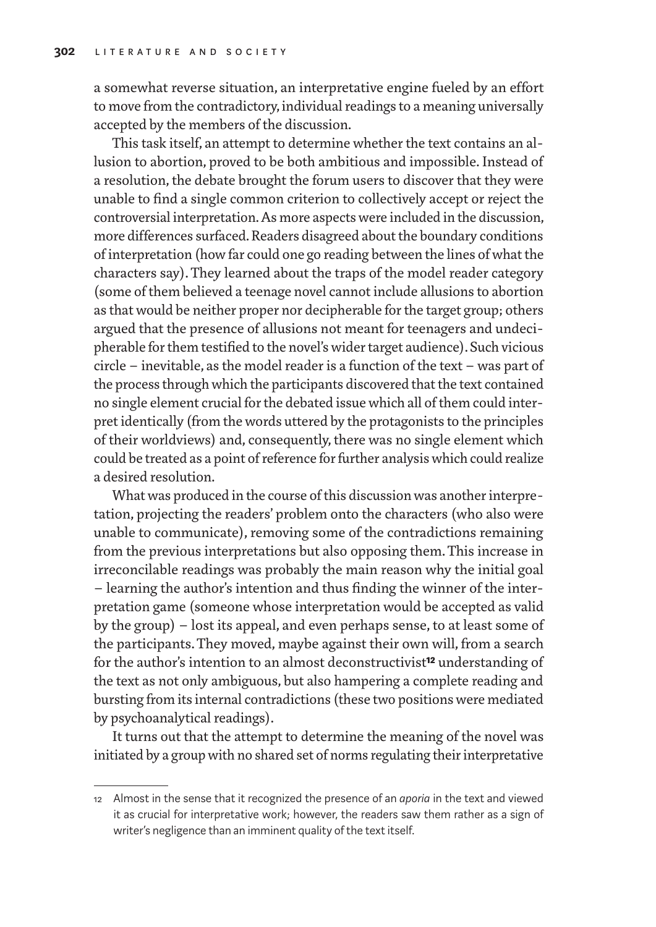a somewhat reverse situation, an interpretative engine fueled by an effort to move from the contradictory, individual readings to a meaning universally accepted by the members of the discussion.

This task itself, an attempt to determine whether the text contains an allusion to abortion, proved to be both ambitious and impossible. Instead of a resolution, the debate brought the forum users to discover that they were unable to find a single common criterion to collectively accept or reject the controversial interpretation. As more aspects were included in the discussion, more differences surfaced. Readers disagreed about the boundary conditions of interpretation (how far could one go reading between the lines of what the characters say). They learned about the traps of the model reader category (some of them believed a teenage novel cannot include allusions to abortion as that would be neither proper nor decipherable for the target group; others argued that the presence of allusions not meant for teenagers and undecipherable for them testified to the novel's wider target audience). Such vicious circle – inevitable, as the model reader is a function of the text – was part of the process through which the participants discovered that the text contained no single element crucial for the debated issue which all of them could interpret identically (from the words uttered by the protagonists to the principles of their worldviews) and, consequently, there was no single element which could be treated as a point of reference for further analysis which could realize a desired resolution.

What was produced in the course of this discussion was another interpretation, projecting the readers' problem onto the characters (who also were unable to communicate), removing some of the contradictions remaining from the previous interpretations but also opposing them. This increase in irreconcilable readings was probably the main reason why the initial goal – learning the author's intention and thus finding the winner of the interpretation game (someone whose interpretation would be accepted as valid by the group) – lost its appeal, and even perhaps sense, to at least some of the participants. They moved, maybe against their own will, from a search for the author's intention to an almost deconstructivist**12** understanding of the text as not only ambiguous, but also hampering a complete reading and bursting from its internal contradictions (these two positions were mediated by psychoanalytical readings).

It turns out that the attempt to determine the meaning of the novel was initiated by a group with no shared set of norms regulating their interpretative

<sup>12</sup> Almost in the sense that it recognized the presence of an *aporia* in the text and viewed it as crucial for interpretative work; however, the readers saw them rather as a sign of writer's negligence than an imminent quality of the text itself.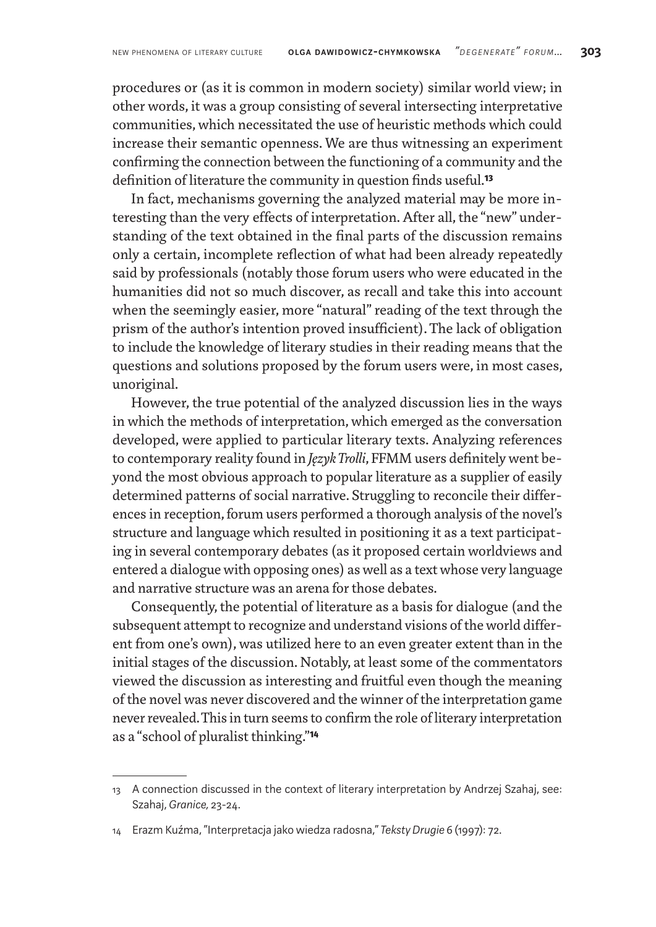procedures or (as it is common in modern society) similar world view; in other words, it was a group consisting of several intersecting interpretative communities, which necessitated the use of heuristic methods which could increase their semantic openness. We are thus witnessing an experiment confirming the connection between the functioning of a community and the definition of literature the community in question finds useful.**13**

In fact, mechanisms governing the analyzed material may be more interesting than the very effects of interpretation. After all, the "new" understanding of the text obtained in the final parts of the discussion remains only a certain, incomplete reflection of what had been already repeatedly said by professionals (notably those forum users who were educated in the humanities did not so much discover, as recall and take this into account when the seemingly easier, more "natural" reading of the text through the prism of the author's intention proved insufficient). The lack of obligation to include the knowledge of literary studies in their reading means that the questions and solutions proposed by the forum users were, in most cases, unoriginal.

However, the true potential of the analyzed discussion lies in the ways in which the methods of interpretation, which emerged as the conversation developed, were applied to particular literary texts. Analyzing references to contemporary reality found in *Język Trolli*, FFMM users definitely went beyond the most obvious approach to popular literature as a supplier of easily determined patterns of social narrative. Struggling to reconcile their differences in reception, forum users performed a thorough analysis of the novel's structure and language which resulted in positioning it as a text participating in several contemporary debates (as it proposed certain worldviews and entered a dialogue with opposing ones) as well as a text whose very language and narrative structure was an arena for those debates.

Consequently, the potential of literature as a basis for dialogue (and the subsequent attempt to recognize and understand visions of the world different from one's own), was utilized here to an even greater extent than in the initial stages of the discussion. Notably, at least some of the commentators viewed the discussion as interesting and fruitful even though the meaning of the novel was never discovered and the winner of the interpretation game never revealed. This in turn seems to confirm the role of literary interpretation as a "school of pluralist thinking."**14**

<sup>13</sup> A connection discussed in the context of literary interpretation by Andrzej Szahaj, see: Szahaj, *Granice,* 23-24.

<sup>14</sup> Erazm Kuźma, "Interpretacja jako wiedza radosna," *Teksty Drugie* 6 (1997): 72.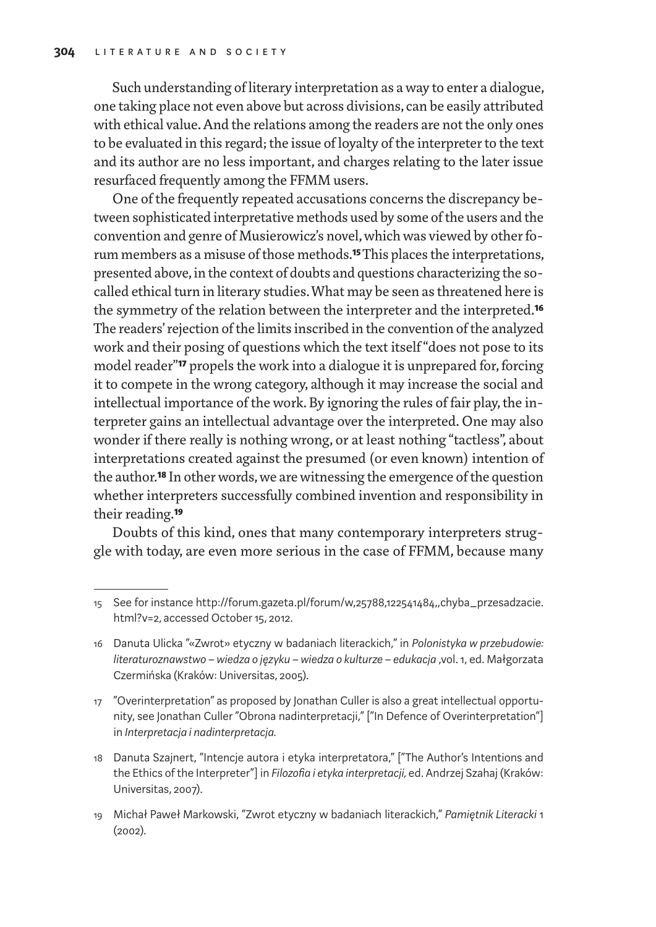Such understanding of literary interpretation as away to enter a dialogue, one taking place not even above but across divisions, can be easily attributed with ethical value. And the relations among the readers are not the only ones to be evaluated in this regard; the issue of loyalty of the interpreter to the text and its author are no less important, and charges relating to the later issue resurfaced frequently among the FFMM users.

One of the frequently repeated accusations concerns the discrepancy between sophisticated interpretative methods used by some of the users and the convention and genre of Musierowicz's novel, which was viewed by other forum members as a misuse of those methods.**15** This places the interpretations, presented above, in the context of doubts and questions characterizing the socalled ethical turn in literary studies. What may be seen as threatened here is the symmetry of the relation between the interpreter and the interpreted.**16** The readers' rejection of the limits inscribed in the convention of the analyzed work and their posing of questions which the text itself "does not pose to its model reader"**17** propels the work into a dialogue it is unprepared for, forcing it to compete in the wrong category, although it may increase the social and intellectual importance of the work. By ignoring the rules of fair play, the interpreter gains an intellectual advantage over the interpreted. One may also wonder if there really is nothing wrong, or at least nothing "tactless", about interpretations created against the presumed (or even known) intention of the author.**18** In other words, we are witnessing the emergence of the question whether interpreters successfully combined invention and responsibility in their reading.**19**

Doubts of this kind, ones that many contemporary interpreters struggle with today, are even more serious in the case of FFMM, because many

- 17 "Overinterpretation" as proposed by Jonathan Culler is also a great intellectual opportunity, see Jonathan Culler "Obrona nadinterpretacji," ["In Defence of Overinterpretation"] in *Interpretacja i nadinterpretacja.*
- 18 Danuta Szajnert, "Intencje autora i etyka interpretatora," ["The Author's Intentions and the Ethics of the Interpreter"] in *Filozofia i etyka interpretacji,* ed. Andrzej Szahaj (Kraków: Universitas, 2007).
- 19 Michał Paweł Markowski, "Zwrot etyczny w badaniach literackich," *Pamiętnik Literacki* 1 (2002).

<sup>15</sup> See for instance http://forum.gazeta.pl/forum/w,25788,122541484,,chyba\_przesadzacie. html?v=2, accessed October 15, 2012.

<sup>16</sup> Danuta Ulicka "«Zwrot» etyczny w badaniach literackich," in *Polonistyka w przebudowie: literaturoznawstwo – wiedza o języku – wiedza o kulturze – edukacja* ,vol. 1, ed. Małgorzata Czermińska (Kraków: Universitas, 2005).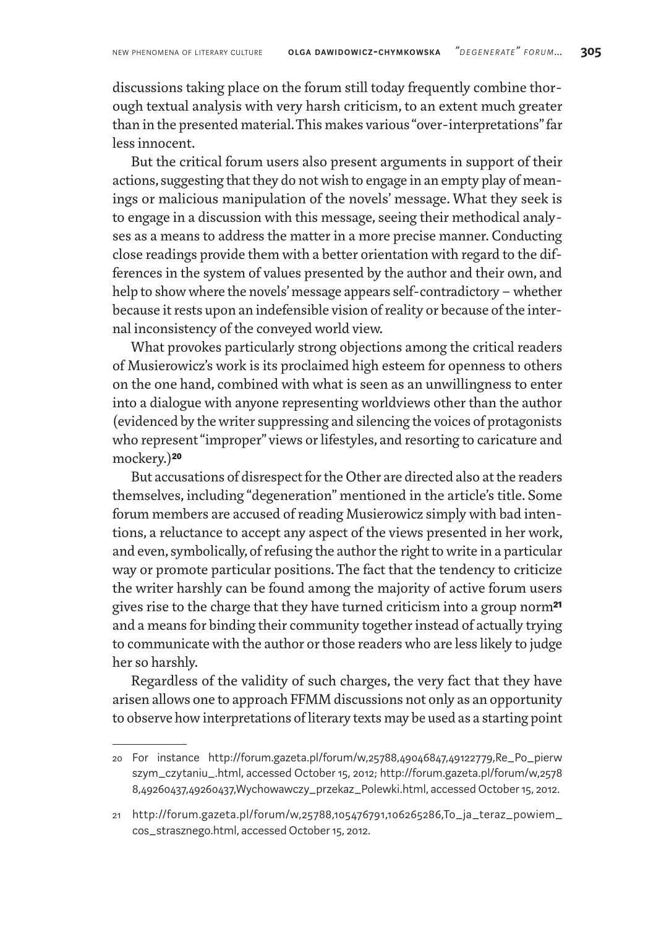discussions taking place on the forum still today frequently combine thorough textual analysis with very harsh criticism, to an extent much greater than in the presented material. This makes various "over-interpretations" far less innocent.

But the critical forum users also present arguments in support of their actions, suggesting that they do not wish to engage in an empty play of meanings or malicious manipulation of the novels' message. What they seek is to engage in a discussion with this message, seeing their methodical analyses as a means to address the matter in a more precise manner. Conducting close readings provide them with a better orientation with regard to the differences in the system of values presented by the author and their own, and help to show where the novels' message appears self-contradictory– whether because it rests upon an indefensible vision of reality or because of the internal inconsistency of the conveyed world view.

What provokes particularly strong objections among the critical readers of Musierowicz's work is its proclaimed high esteem for openness to others on the one hand, combined with what is seen as an unwillingness to enter into a dialogue with anyone representing worldviews other than the author (evidenced by the writer suppressing and silencing the voices of protagonists who represent "improper" views or lifestyles, and resorting to caricature and mockery.)**20**

But accusations of disrespect for the Other are directed also at the readers themselves, including "degeneration" mentioned in the article's title. Some forum members are accused of reading Musierowicz simply with bad intentions, a reluctance to accept any aspect of the views presented in her work, and even, symbolically, of refusing the author the right towrite in a particular way or promote particular positions. The fact that the tendency to criticize the writer harshly can be found among the majority of active forum users gives rise to the charge that they have turned criticism into a group norm**21** and a means for binding their community together instead of actually trying to communicate with the author or those readers who are less likely to judge her so harshly.

Regardless of the validity of such charges, the very fact that they have arisen allows one to approach FFMM discussions not only as an opportunity to observe how interpretations of literary texts may be used as a starting point

<sup>20</sup> For instance http://forum.gazeta.pl/forum/w,25788,49046847,49122779,Re\_Po\_pierw szym\_czytaniu\_.html, accessed October 15, 2012; http://forum.gazeta.pl/forum/w,2578 8,49260437,49260437,Wychowawczy\_przekaz\_Polewki.html, accessed October 15, 2012.

<sup>21</sup> http://forum.gazeta.pl/forum/w,25788,105476791,106265286,To\_ja\_teraz\_powiem\_ cos\_strasznego.html, accessed October 15, 2012.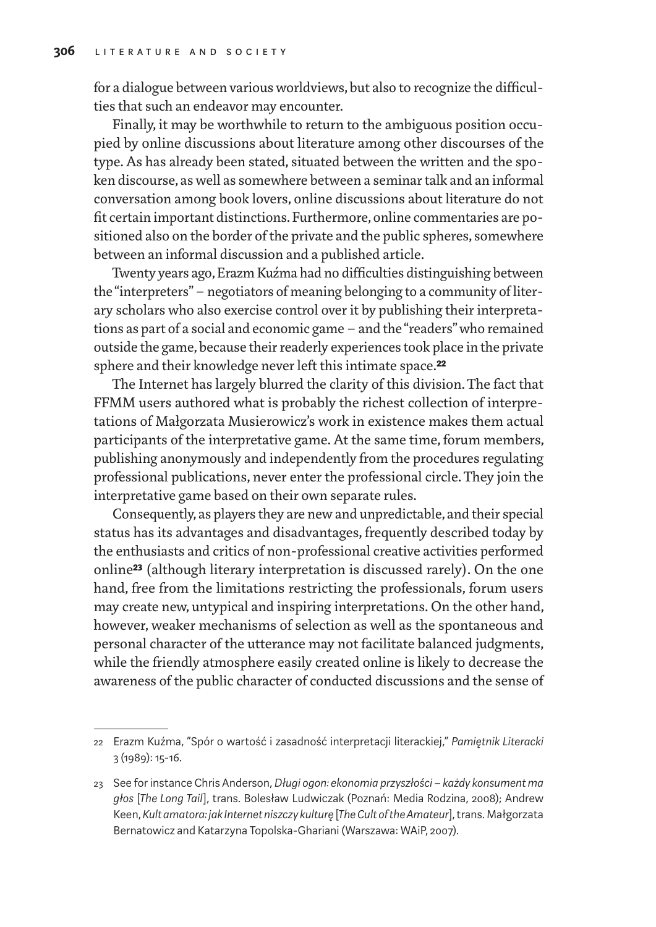for a dialogue between various worldviews, but also to recognize the difficulties that such an endeavor may encounter.

Finally, it may be worthwhile to return to the ambiguous position occupied by online discussions about literature among other discourses of the type. As has already been stated, situated between the written and the spoken discourse, as well as somewhere between a seminar talk and an informal conversation among book lovers, online discussions about literature do not fit certain important distinctions. Furthermore, online commentaries are positioned also on the border of the private and the public spheres, somewhere between an informal discussion and a published article.

Twenty years ago, Erazm Kuźma had no difficulties distinguishing between the "interpreters"– negotiators of meaning belonging to a community of literary scholars who also exercise control over it by publishing their interpretations as part of a social and economic game – and the "readers" who remained outside the game, because their readerly experiences took place in the private sphere and their knowledge never left this intimate space.**22**

The Internet has largely blurred the clarity of this division. The fact that FFMM users authored what is probably the richest collection of interpretations of Małgorzata Musierowicz's work in existence makes them actual participants of the interpretative game. At the same time, forum members, publishing anonymously and independently from the procedures regulating professional publications, never enter the professional circle. They join the interpretative game based on their own separate rules.

Consequently, as players they are new and unpredictable, and their special status has its advantages and disadvantages, frequently described today by the enthusiasts and critics of non-professional creative activities performed online**23** (although literary interpretation is discussed rarely). On the one hand, free from the limitations restricting the professionals, forum users may create new, untypical and inspiring interpretations. On the other hand, however, weaker mechanisms of selection as well as the spontaneous and personal character of the utterance may not facilitate balanced judgments, while the friendly atmosphere easily created online is likely to decrease the awareness of the public character of conducted discussions and the sense of

<sup>22</sup> Erazm Kuźma, "Spór o wartość i zasadność interpretacji literackiej," *Pamiętnik Literacki* 3(1989): 15-16.

<sup>23</sup> See for instance Chris Anderson, *Długi ogon: ekonomia przyszłości – każdy konsument ma głos* [*The Long Tail*], trans. Bolesław Ludwiczak (Poznań: Media Rodzina, 2008); Andrew Keen, *Kult amatora: jak Internet niszczy kulturę* [*The Cult of the Amateur*], trans. Małgorzata Bernatowicz and Katarzyna Topolska-Ghariani (Warszawa: WAiP, 2007).